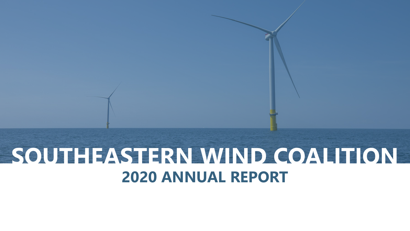# **SOUTHEASTERN WIND COALITION 2020 ANNUAL REPORT**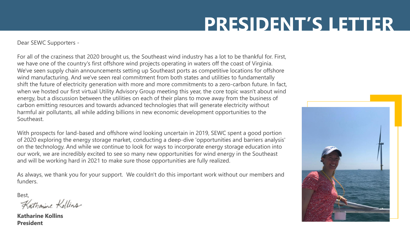# **PRESIDENT'S LETTER**

Dear SEWC Supporters -

For all of the craziness that 2020 brought us, the Southeast wind industry has a lot to be thankful for. First, we have one of the country's first offshore wind projects operating in waters off the coast of Virginia. We've seen supply chain announcements setting up Southeast ports as competitive locations for offshore wind manufacturing. And we've seen real commitment from both states and utilities to fundamentally shift the future of electricity generation with more and more commitments to a zero-carbon future. In fact, when we hosted our first virtual Utility Advisory Group meeting this year, the core topic wasn't about wind energy, but a discussion between the utilities on each of their plans to move away from the business of carbon emitting resources and towards advanced technologies that will generate electricity without harmful air pollutants, all while adding billions in new economic development opportunities to the Southeast.

With prospects for land-based and offshore wind looking uncertain in 2019, SEWC spent a good portion of 2020 exploring the energy storage market, conducting a deep-dive 'opportunities and barriers analysis' on the technology. And while we continue to look for ways to incorporate energy storage education into our work, we are incredibly excited to see so many new opportunities for wind energy in the Southeast and will be working hard in 2021 to make sure those opportunities are fully realized.

As always, we thank you for your support. We couldn't do this important work without our members and funders.

Best,<br>Katharine Kollins

**Katharine Kollins President**

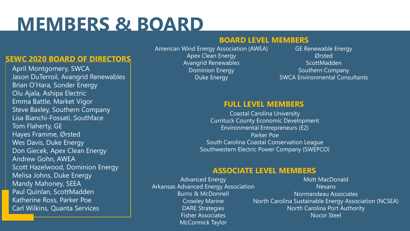# **MEMBERS & BOARD**

### **BOARD LEVEL MEMBERS**

#### **SEWC 2020 BOARD OF DIRECTORS**

April Montgomery, SWCA Jason DuTerroil, Avangrid Renewables Brian O'Hara, Sonder Energy Olu Ajala, Ashipa Electric Emma Battle, Market Vigor **Steve Baxley, Southern Company** Lisa Bianchi-Fossati, Southface Tom Flaherty, GE Hayes Framme, Ørsted Wes Davis, Duke Energy Don Giecek, Apex Clean Energy Andrew Gohn, AWEA Scott Hazelwood, Dominion Energy Melisa Johns, Duke Energy Mandy Mahoney, SEEA Paul Quinlan, ScottMadden Katherine Ross, Parker Poe Carl Wilkins, Quanta Services

American Wind Energy Association (AWEA) Apex Clean Energy Avangrid Renewables Dominion Energy Duke Energy

GE Renewable Energy **Ørsted ScottMadden** Southern Company SWCA Environmental Consultants

#### **FULL LEVEL MEMBERS**

Coastal Carolina University Currituck County Economic Development Environmental Entrepreneurs (E2) Parker Poe South Carolina Coastal Conservation League Southwestern Electric Power Company (SWEPCO)

#### **ASSOCIATE LEVEL MEMBERS**

Advanced Energy Arkansas Advanced Energy Association Burns & McDonnell Crowley Marine DARE Strategies Fisher Associates McCormick Taylor

Mott MacDonald Nexans Normandeau Associates North Carolina Sustainable Energy Association (NCSEA) North Carolina Port Authority Nucor Steel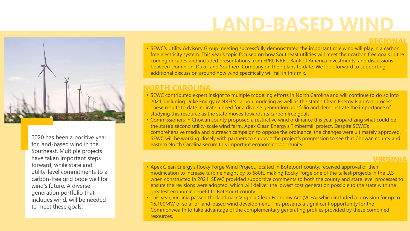## **LAND-BASED WIND**

**REGIONAL**



2020 has been a positive year for land-based wind in the Southeast. Multiple projects have taken important steps forward, while state and utility-level commitments to a carbon-free grid bode well for wind's future. A diverse generation portfolio that includes wind, will be needed to meet these goals.

• SEWC's Utility Advisory Group meeting successfully demonstrated the important role wind will play in a carbon free electricity system. This year's topic focused on how Southeast utilities will meet their carbon free goals in the coming decades and included presentations from EPRI, NREL, Bank of America Investments, and discussions between Dominion, Duke, and Southern Company on their plans to date. We look forward to supporting additional discussion around how wind specifically will fall in this mix.

#### **NORTH CAROLINA**

- SEWC contributed expert insight to multiple modeling efforts in North Carolina and will continue to do so into 2021, including Duke Energy & NREL's carbon modeling as well as the state's Clean Energy Plan A-1 process. These results to date indicate a need for a diverse generation portfolio and demonstrate the importance of studying this resource as the state moves towards its carbon free goals.
- Commissioners in Chowan county proposed a restrictive wind ordinance this year, jeopardizing what could be the state's second utility-scale wind farm, Apex Clean Energy's Timbermill project. Despite SEWC's comprehensive media and outreach campaign to oppose the ordinance, the changes were ultimately approved. SEWC will be working closely with partners to support the project's progression to see that Chowan county and eastern North Carolina secure this important economic opportunity.

#### **VIRGINIA**

- Apex Clean Energy's Rocky Forge Wind Project, located in Botetourt county, received approval of their modification to increase turbine height by to 680ft, making Rocky Forge one of the tallest projects in the U.S when constructed in 2021. SEWC provided supportive comments to both the county and state level processes to ensure the revisions were adopted, which will deliver the lowest cost generation possible to the state with the greatest economic benefit to Botetourt county.
- This year, Virginia passed the landmark Virginia Clean Economy Act (VCEA) which included a provision for up to 16,100MW of solar or land-based wind development. This presents a significant opportunity for the Commonwealth to take advantage of the complementary generating profiles provided by these combined resources.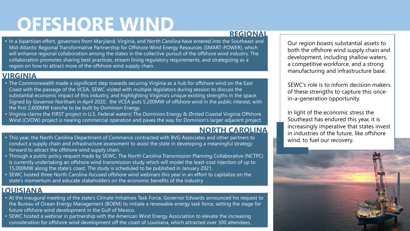# **OFFSHORE WIND**

#### **REGIONAL**

• In a bipartisan effort, governors from Maryland, Virginia, and North Carolina have entered into the Southeast and Mid-Atlantic Regional Transformative Partnership for Offshore Wind Energy Resources (SMART-POWER), which will enhance regional collaboration among the states in the collective pursuit of the offshore wind industry. The collaboration promotes sharing best practices, stream lining regulatory requirements, and strategizing as a region on how to attract more of the offshore wind supply chain.

### **VIRGINIA**

- The Commonwealth made a significant step towards securing Virginia as a hub for offshore wind on the East Coast with the passage of the VCEA. SEWC visited with multiple legislators during session to discuss the substantial economic impact of this industry, and highlighting Virginia's unique existing strengths in the space. Signed by Governor Northam in April 2020, the VCEA puts 5,200MW of offshore wind in the public interest, with the first 2,600MW tranche to be built by Dominion Energy.
- Virginia claims the FIRST project in U.S. Federal waters! The Dominion Energy & Ørsted Coastal Virginia Offshore Wind (CVOW) project is nearing commercial operation and paves the way for Dominion's larger adjacent project.

### **NORTH CAROLINA**

- This year, the North Carolina Department of Commerce contracted with BVG Associates and other partners to conduct a supply chain and infrastructure assessment to assist the state in developing a meaningful strategy forward to attract the offshore wind supply chain.
- Through a public policy request made by SEWC, The North Carolina Transmission Planning Collaborative (NCTPC) is currently undertaking an offshore wind transmission study which will model the least-cost injection of up to 15,000MW along the state's coast. The study is scheduled to be published in January 2021.
- SEWC hosted three North Carolina-focused offshore wind webinars this year in an effort to capitalize on the state's momentum and educate stakeholders on the economic benefits of the industry.

### **LOUISIANA**

- At the inaugural meeting of the state's Climate Initiatives Task Force, Governor Edwards announced his request to the Bureau of Ocean Energy Management (BOEM) to initiate a renewable energy task force, setting the stage for future offshore wind development in the Gulf of Mexico.
- SEWC hosted a webinar in partnership with the American Wind Energy Association to elevate the increasing consideration for offshore wind development off the coast of Louisiana, which attracted over 300 attendees.

Our region boasts substantial assets to both the offshore wind supply chain and development, including shallow waters, a competitive workforce, and a strong manufacturing and infrastructure base.

SEWC's role is to inform decision makers of these strengths to capture this oncein-a-generation opportunity.

In light of the economic stress the Southeast has endured this year, it is increasingly imperative that states invest in industries of the future, like offshore wind, to fuel our recovery.

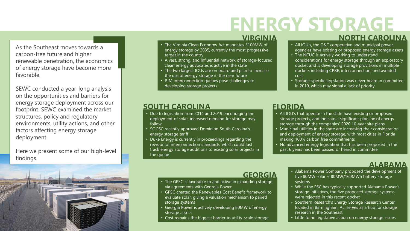# **ENERGY STORAGE**

As the Southeast moves towards a carbon-free future and higher renewable penetration, the economics of energy storage have become more favorable.

SEWC conducted a year-long analysis on the opportunities and barriers for energy storage deployment across our footprint. SEWC examined the market structures, policy and regulatory environments, utility actions, and other factors affecting energy storage deployment.

Here we present some of our high-level findings.



#### **VIRGINIA**

- The Virginia Clean Economy Act mandates 3100MW of energy storage by 2035, currently the most progressive target in the country
- A vast, strong, and influential network of storage-focused clean energy advocates is active in the state
- The two largest IOUs are on board and plan to increase the use of energy storage in the near future
- PJM interconnection queues pose challenges to developing storage projects

#### **NORTH CAROLINA**

- All IOU's, the G&T cooperative and municipal power agencies have existing or proposed energy storage assets
- The NCUC is actively working to understand considerations for energy storage through an exploratory docket and is developing storage provisions in multiple dockets including CPRE, interconnection, and avoided cost
- Storage-specific legislation was never heard in committee in 2019, which may signal a lack of priority

#### **SOUTH CAROLINA**

- Due to legislation from 2014 and 2019 encouraging the deployment of solar, increased demand for storage may follow
- SC PSC recently approved Dominion South Carolina's energy storage tariff
- Duke Energy is currently in proceedings regarding the revision of interconnection standards, which could fast track energy storage additions to existing solar projects in the queue

#### **FLORIDA**

- All IOU's that operate in the state have existing or proposed storage projects, and indicate a significant pipeline of energy storage through the companies' 2020 10-year site plans
- Municipal utilities in the state are increasing their consideration and deployment of energy storage, with most cities in Florida making 100% carbon free commitments
- No advanced energy legislation that has been proposed in the past 6 years has been passed or heard in committee

- The GPSC is favorable to and active in expanding storage via agreements with Georgia Power
- GPSC created the Renewables Cost Benefit framework to evaluate solar, giving a valuation mechanism to paired storage systems
- Georgia Power is actively developing 80MW of energy storage assets
- Cost remains the biggest barrier to utility-scale storage
- GEORGIA Alabama Power Company proposed the development of five 80MW solar + 80MW/160MWh battery storage systems **ALABAMA**<br>Alabama Power Company proposed the development of
	- While the PSC has typically supported Alabama Power's storage initiatives, the five proposed storage systems were rejected in this recent docket
	- Southern Research's Energy Storage Research Center, located in Birmingham, AL, serves as a hub for storage research in the Southeast
	- Little to no legislative action on energy storage issues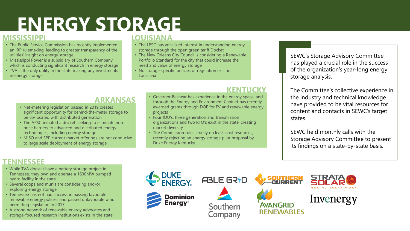# **ENERGY STORAGE**

#### **MISSISSIPPI**

- The Public Service Commission has recently implemented an IRP rulemaking, leading to greater transparency of the utilities' insight on energy storage
- Mississippi Power is a subsidiary of Southern Company, which is conducting significant research in energy storage
- TVA is the only utility in the state making any investments in energy storage

### **LOUISIANA**

- The LPSC has vocalized interest in understanding energy storage through the open green tariff Docket
- The New Orleans City Council is considering a Renewable Portfolio Standard for the city that could increase the need and value of energy storage
- No storage-specific policies or regulation exist in Louisiana

#### **KENTUCKY**

#### **ARKANSAS**

- Net-metering legislation passed in 2019 creates significant opportunity for behind-the-meter storage to be co-located with distributed generation
- The APSC initiated a docket seeking to eliminate nonprice barriers to advanced and distributed energy technologies, including energy storage
- MISO and SPP current market offerings are not conducive to large scale deployment of energy storage
- Governor Beshear has experience in the energy space, and through the Energy and Environment Cabinet has recently awarded grants through DOE for EV and renewable energy projects
- Four IOU's, three generation and transmission organizations and two RTO's exist in the state, creating market diversity
- The Commission rules strictly on least-cost resources, recently rejecting an energy storage pilot proposal by Duke Energy Kentucky

SEWC's Storage Advisory Committee has played a crucial role in the success of the organization's year-long energy storage analysis.

The Committee's collective experience in the industry and technical knowledge have provided to be vital resources for content and contacts in SEWC's target states.

SEWC held monthly calls with the Storage Advisory Committee to present its findings on a state-by-state basis.

### **TENNESSEE**

- While TVA doesn't have a battery storage project in Tennessee, they own and operate a 1600MW pumped hydro facility in the state
- Several coops and munis are considering and/or exploring energy storage
- Tennessee has not had success in passing favorable renewable energy policies and passed unfavorable wind permitting legislation in 2017
- A strong network of renewable energy advocates and storage-focused research institutions exists in the state

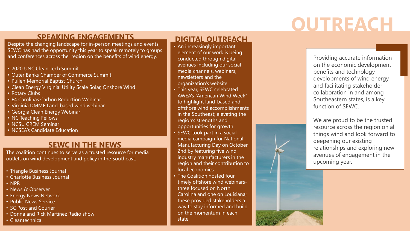# **OUTREACH**

### **SPEAKING ENGAGEMENTS**

Despite the changing landscape for in-person meetings and events, SEWC has had the opportunity this year to speak remotely to groups and conferences across the region on the benefits of wind energy.

- 2020 UNC Clean Tech Summit
- Outer Banks Chamber of Commerce Summit
- Pullen Memorial Baptist Church
- Clean Energy Virginia: Utility Scale Solar, Onshore Wind
- Rotary Clubs
- E4 Carolinas Carbon Reduction Webinar
- Virginia DMME Land-based wind webinar
- Georgia Clean Energy Webinar
- NC Teaching Fellows
- NCSU CREM Seminar
- NCSEA's Candidate Education

### **SEWC IN THE NEWS**

The coalition continues to serve as a trusted resource for media outlets on wind development and policy in the Southeast.

- Triangle Business Journal
- Charlotte Business Journal
- NPR
- News & Observer
- Energy News Network
- Public News Service
- SC Post and Courier
- Donna and Rick Martinez Radio show
- Cleantechnica

### **DIGITAL OUTREACH**

- An increasingly important element of our work is being conducted through digital avenues including our social media channels, webinars, newsletters and the organization's website
- This year, SEWC celebrated AWEA's "American Wind Week" to highlight land-based and offshore wind accomplishments in the Southeast; elevating the region's strengths and opportunities for growth
- SEWC took part in a social media campaign for National Manufacturing Day on October 2nd by featuring five wind industry manufacturers in the region and their contribution to local economies
- The Coalition hosted four timely offshore wind webinarsthree focused on North Carolina and one on Louisiana; these provided stakeholders a way to stay informed and build on the momentum in each state

Providing accurate information on the economic development benefits and technology developments of wind energy, and facilitating stakeholder collaboration in and among Southeastern states, is a key function of SEWC.

We are proud to be the trusted resource across the region on all things wind and look forward to deepening our existing relationships and exploring new avenues of engagement in the upcoming year.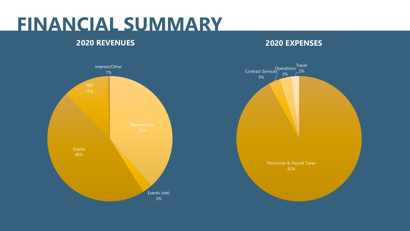## **FINANCIAL SUMMARY**

### **2020 REVENUES**

### **2020 EXPENSES**